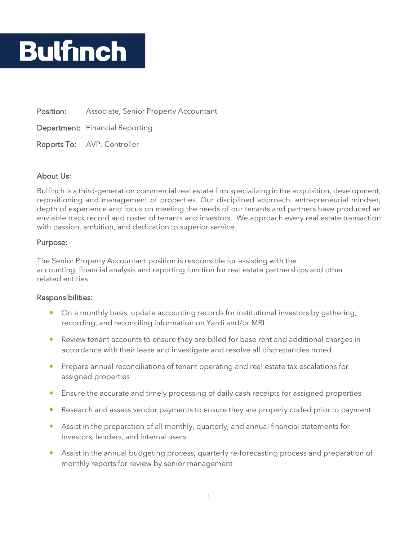# **Bulfinch**

Position: Associate, Senior Property Accountant

Department: Financial Reporting

Reports To: AVP, Controller

### About Us:

Bulfinch is a third-generation commercial real estate firm specializing in the acquisition, development, repositioning and management of properties. Our disciplined approach, entrepreneurial mindset, depth of experience and focus on meeting the needs of our tenants and partners have produced an enviable track record and roster of tenants and investors. We approach every real estate transaction with passion, ambition, and dedication to superior service.

#### Purpose:

The Senior Property Accountant position is responsible for assisting with the accounting, financial analysis and reporting function for real estate partnerships and other related entities.

#### Responsibilities:

- On a monthly basis, update accounting records for institutional investors by gathering, recording, and reconciling information on Yardi and/or MRI
- Review tenant accounts to ensure they are billed for base rent and additional charges in accordance with their lease and investigate and resolve all discrepancies noted
- Prepare annual reconciliations of tenant operating and real estate tax escalations for assigned properties
- Ensure the accurate and timely processing of daily cash receipts for assigned properties
- Research and assess vendor payments to ensure they are properly coded prior to payment
- Assist in the preparation of all monthly, quarterly, and annual financial statements for investors, lenders, and internal users
- Assist in the annual budgeting process, quarterly re-forecasting process and preparation of monthly reports for review by senior management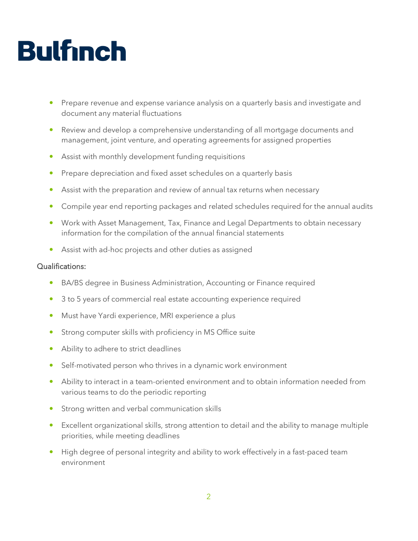## **Bulfinch**

- Prepare revenue and expense variance analysis on a quarterly basis and investigate and document any material fluctuations
- Review and develop a comprehensive understanding of all mortgage documents and management, joint venture, and operating agreements for assigned properties
- Assist with monthly development funding requisitions
- Prepare depreciation and fixed asset schedules on a quarterly basis
- Assist with the preparation and review of annual tax returns when necessary
- Compile year end reporting packages and related schedules required for the annual audits
- Work with Asset Management, Tax, Finance and Legal Departments to obtain necessary information for the compilation of the annual financial statements
- Assist with ad-hoc projects and other duties as assigned

### Qualifications:

- BA/BS degree in Business Administration, Accounting or Finance required
- 3 to 5 years of commercial real estate accounting experience required
- Must have Yardi experience, MRI experience a plus
- **•** Strong computer skills with proficiency in MS Office suite
- Ability to adhere to strict deadlines
- Self-motivated person who thrives in a dynamic work environment
- Ability to interact in a team-oriented environment and to obtain information needed from various teams to do the periodic reporting
- **Strong written and verbal communication skills**
- Excellent organizational skills, strong attention to detail and the ability to manage multiple priorities, while meeting deadlines
- High degree of personal integrity and ability to work effectively in a fast-paced team environment